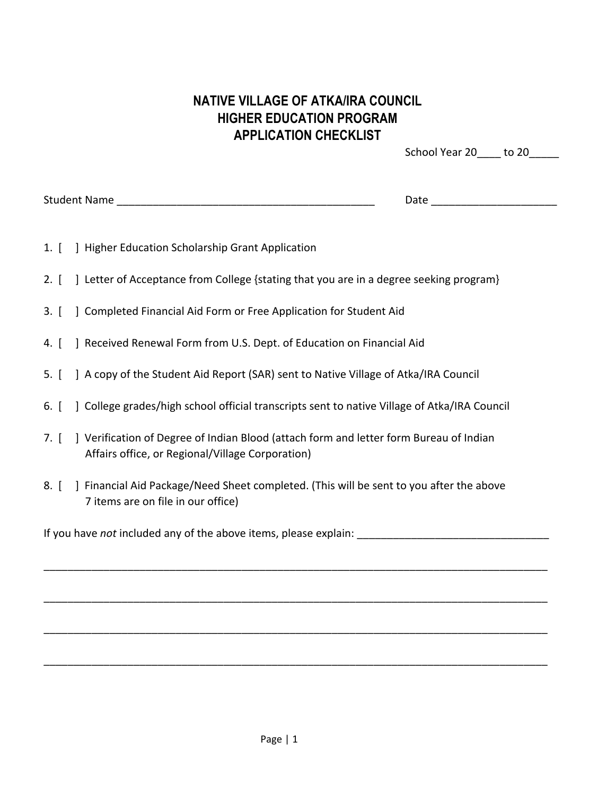## **NATIVE VILLAGE OF ATKA/IRA COUNCIL HIGHER EDUCATION PROGRAM APPLICATION CHECKLIST**

School Year 20 to 20

Student Name \_\_\_\_\_\_\_\_\_\_\_\_\_\_\_\_\_\_\_\_\_\_\_\_\_\_\_\_\_\_\_\_\_\_\_\_\_\_\_\_\_\_\_ Date \_\_\_\_\_\_\_\_\_\_\_\_\_\_\_\_\_\_\_\_\_

- 1. [ ] Higher Education Scholarship Grant Application
- 2. [ ] Letter of Acceptance from College {stating that you are in a degree seeking program}
- 3. [ ] Completed Financial Aid Form or Free Application for Student Aid
- 4. [ ] Received Renewal Form from U.S. Dept. of Education on Financial Aid
- 5. [ ] A copy of the Student Aid Report (SAR) sent to Native Village of Atka/IRA Council
- 6. [ ] College grades/high school official transcripts sent to native Village of Atka/IRA Council
- 7. [ ] Verification of Degree of Indian Blood (attach form and letter form Bureau of Indian Affairs office, or Regional/Village Corporation)
- 8. [ ] Financial Aid Package/Need Sheet completed. (This will be sent to you after the above 7 items are on file in our office)

\_\_\_\_\_\_\_\_\_\_\_\_\_\_\_\_\_\_\_\_\_\_\_\_\_\_\_\_\_\_\_\_\_\_\_\_\_\_\_\_\_\_\_\_\_\_\_\_\_\_\_\_\_\_\_\_\_\_\_\_\_\_\_\_\_\_\_\_\_\_\_\_\_\_\_\_\_\_\_\_\_\_\_\_

\_\_\_\_\_\_\_\_\_\_\_\_\_\_\_\_\_\_\_\_\_\_\_\_\_\_\_\_\_\_\_\_\_\_\_\_\_\_\_\_\_\_\_\_\_\_\_\_\_\_\_\_\_\_\_\_\_\_\_\_\_\_\_\_\_\_\_\_\_\_\_\_\_\_\_\_\_\_\_\_\_\_\_\_

\_\_\_\_\_\_\_\_\_\_\_\_\_\_\_\_\_\_\_\_\_\_\_\_\_\_\_\_\_\_\_\_\_\_\_\_\_\_\_\_\_\_\_\_\_\_\_\_\_\_\_\_\_\_\_\_\_\_\_\_\_\_\_\_\_\_\_\_\_\_\_\_\_\_\_\_\_\_\_\_\_\_\_\_

\_\_\_\_\_\_\_\_\_\_\_\_\_\_\_\_\_\_\_\_\_\_\_\_\_\_\_\_\_\_\_\_\_\_\_\_\_\_\_\_\_\_\_\_\_\_\_\_\_\_\_\_\_\_\_\_\_\_\_\_\_\_\_\_\_\_\_\_\_\_\_\_\_\_\_\_\_\_\_\_\_\_\_\_

If you have *not* included any of the above items, please explain: \_\_\_\_\_\_\_\_\_\_\_\_\_\_\_\_\_\_\_\_\_\_\_\_\_\_\_\_\_\_\_\_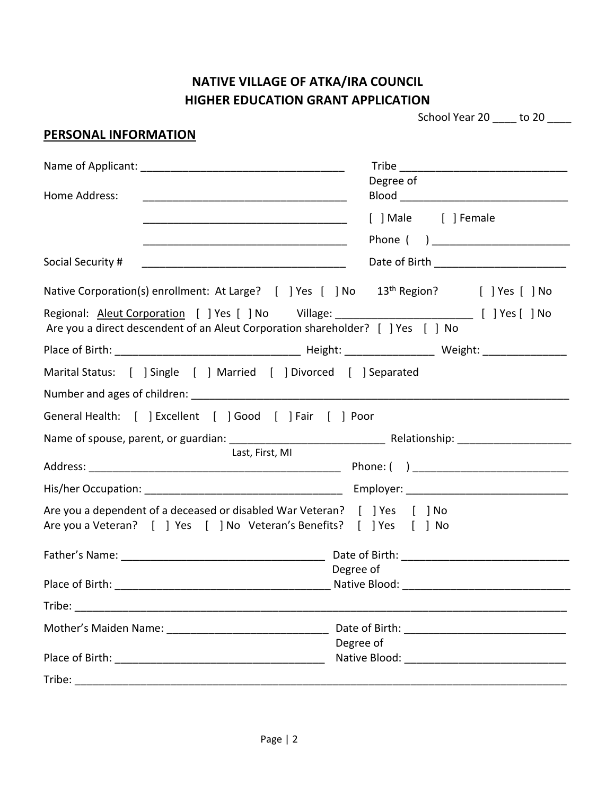# **NATIVE VILLAGE OF ATKA/IRA COUNCIL HIGHER EDUCATION GRANT APPLICATION**

| School Year 20 | to 20 |
|----------------|-------|
|                |       |

| <b>PERSONAL INFORMATION</b>                                                                                                                                                        |                                    |
|------------------------------------------------------------------------------------------------------------------------------------------------------------------------------------|------------------------------------|
|                                                                                                                                                                                    |                                    |
|                                                                                                                                                                                    | Degree of                          |
| Home Address:                                                                                                                                                                      |                                    |
|                                                                                                                                                                                    | [ ] Male [ ] Female                |
| <u> 1980 - Jan James James Barnett, fransk politik (d. 1980)</u>                                                                                                                   |                                    |
| Social Security #                                                                                                                                                                  | Date of Birth <b>Exercise 2008</b> |
| Native Corporation(s) enrollment: At Large? [ ] Yes [ ] No 13 <sup>th</sup> Region? [ ] Yes [ ] No                                                                                 |                                    |
| Regional: Aleut Corporation [ ] Yes [ ] No Village: ____________________________ [ ] Yes [ ] No<br>Are you a direct descendent of an Aleut Corporation shareholder? [ ] Yes [ ] No |                                    |
|                                                                                                                                                                                    |                                    |
| Marital Status: [ ] Single [ ] Married [ ] Divorced [ ] Separated                                                                                                                  |                                    |
|                                                                                                                                                                                    |                                    |
| General Health: [ ] Excellent [ ] Good [ ] Fair [ ] Poor                                                                                                                           |                                    |
|                                                                                                                                                                                    |                                    |
| Last, First, MI                                                                                                                                                                    |                                    |
|                                                                                                                                                                                    |                                    |
|                                                                                                                                                                                    |                                    |
| Are you a dependent of a deceased or disabled War Veteran? [ ] Yes [ ] No<br>Are you a Veteran? [ ] Yes [ ] No Veteran's Benefits? [ ] Yes [ ] No                                  |                                    |
| Father's Name: The Contract of Birth: The Contract of Birth: The Contract of Birth:                                                                                                |                                    |
|                                                                                                                                                                                    | Degree of                          |
|                                                                                                                                                                                    |                                    |
|                                                                                                                                                                                    |                                    |
|                                                                                                                                                                                    |                                    |
|                                                                                                                                                                                    | Degree of                          |
|                                                                                                                                                                                    |                                    |
|                                                                                                                                                                                    |                                    |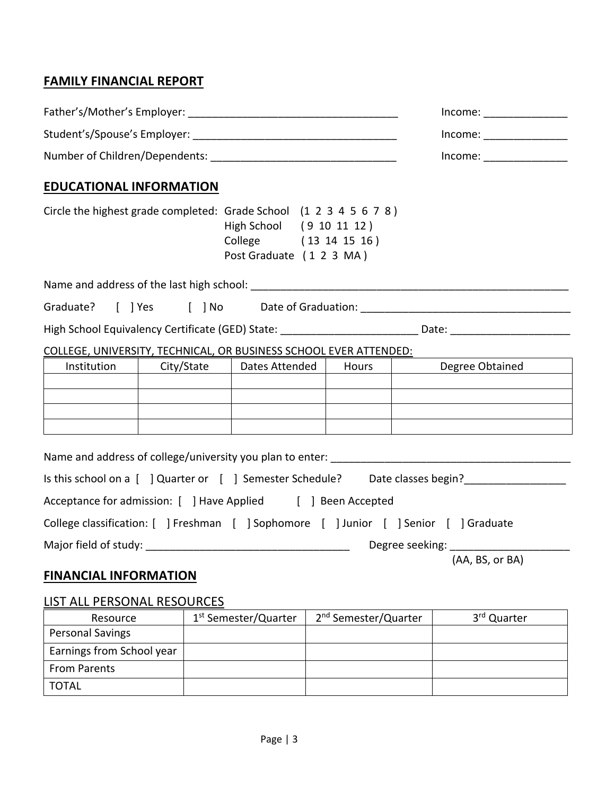## **FAMILY FINANCIAL REPORT**

|                                |  | Income:                                                                                                                                             |  |                                                                                                                |
|--------------------------------|--|-----------------------------------------------------------------------------------------------------------------------------------------------------|--|----------------------------------------------------------------------------------------------------------------|
|                                |  | Income:                                                                                                                                             |  |                                                                                                                |
| <b>EDUCATIONAL INFORMATION</b> |  |                                                                                                                                                     |  |                                                                                                                |
|                                |  | Circle the highest grade completed: Grade School (1 2 3 4 5 6 7 8)<br>High School (9 10 11 12)<br>College (13 14 15 16)<br>Post Graduate (1 2 3 MA) |  |                                                                                                                |
|                                |  |                                                                                                                                                     |  |                                                                                                                |
|                                |  |                                                                                                                                                     |  | Graduate? [ ] Yes [ ] No Date of Graduation: [1] Denote a Leonard Craduation: [1] Denote a Leonard D           |
|                                |  |                                                                                                                                                     |  | High School Equivalency Certificate (GED) State: _____________________________Date: __________________________ |
|                                |  | COLLEGE, UNIVERSITY, TECHNICAL, OR BUSINESS SCHOOL EVER ATTENDED:                                                                                   |  |                                                                                                                |
| Institution                    |  |                                                                                                                                                     |  | City/State   Dates Attended   Hours   Degree Obtained                                                          |
|                                |  |                                                                                                                                                     |  |                                                                                                                |
|                                |  |                                                                                                                                                     |  |                                                                                                                |
|                                |  |                                                                                                                                                     |  |                                                                                                                |
|                                |  |                                                                                                                                                     |  | Name and address of college/university you plan to enter:                                                      |
|                                |  |                                                                                                                                                     |  |                                                                                                                |
|                                |  | Acceptance for admission: [ ] Have Applied [ ] Been Accepted                                                                                        |  |                                                                                                                |
|                                |  |                                                                                                                                                     |  | College classification: [ ] Freshman [ ] Sophomore [ ] Junior [ ] Senior [ ] Graduate                          |
|                                |  |                                                                                                                                                     |  | Degree seeking: _____________                                                                                  |
|                                |  |                                                                                                                                                     |  | (AA, BS, or BA)                                                                                                |
| <b>FINANCIAL INFORMATION</b>   |  |                                                                                                                                                     |  |                                                                                                                |

### LIST ALL PERSONAL RESOURCES

| Resource                  | 1 <sup>st</sup> Semester/Quarter | 2 <sup>nd</sup> Semester/Quarter | 3 <sup>rd</sup> Quarter |
|---------------------------|----------------------------------|----------------------------------|-------------------------|
| <b>Personal Savings</b>   |                                  |                                  |                         |
| Earnings from School year |                                  |                                  |                         |
| <b>From Parents</b>       |                                  |                                  |                         |
| <b>TOTAL</b>              |                                  |                                  |                         |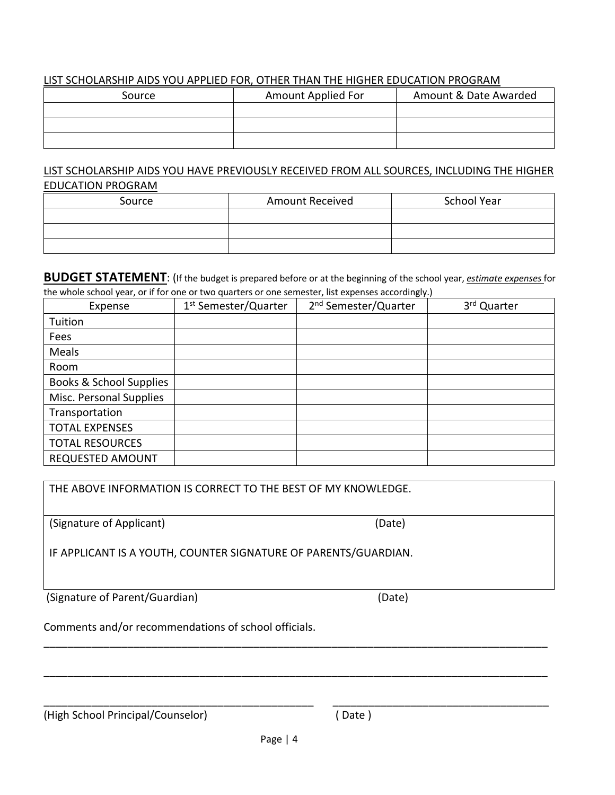#### LIST SCHOLARSHIP AIDS YOU APPLIED FOR, OTHER THAN THE HIGHER EDUCATION PROGRAM

| Source | Amount Applied For | Amount & Date Awarded |
|--------|--------------------|-----------------------|
|        |                    |                       |
|        |                    |                       |
|        |                    |                       |

#### LIST SCHOLARSHIP AIDS YOU HAVE PREVIOUSLY RECEIVED FROM ALL SOURCES, INCLUDING THE HIGHER EDUCATION PROGRAM

| Source | <b>Amount Received</b> | School Year |
|--------|------------------------|-------------|
|        |                        |             |
|        |                        |             |
|        |                        |             |

**BUDGET STATEMENT**: (If the budget is prepared before or at the beginning of the school year, *estimate expenses* for the whole school year, or if for one or two quarters or one semester, list expenses accordingly.)

| Expense                 | 1 <sup>st</sup> Semester/Quarter | 2 <sup>nd</sup> Semester/Quarter | 3rd Quarter |
|-------------------------|----------------------------------|----------------------------------|-------------|
| Tuition                 |                                  |                                  |             |
| Fees                    |                                  |                                  |             |
| Meals                   |                                  |                                  |             |
| Room                    |                                  |                                  |             |
| Books & School Supplies |                                  |                                  |             |
| Misc. Personal Supplies |                                  |                                  |             |
| Transportation          |                                  |                                  |             |
| <b>TOTAL EXPENSES</b>   |                                  |                                  |             |
| <b>TOTAL RESOURCES</b>  |                                  |                                  |             |
| <b>REQUESTED AMOUNT</b> |                                  |                                  |             |

| THE ABOVE INFORMATION IS CORRECT TO THE BEST OF MY KNOWLEDGE.   |        |  |  |
|-----------------------------------------------------------------|--------|--|--|
| (Signature of Applicant)                                        | (Date) |  |  |
| IF APPLICANT IS A YOUTH, COUNTER SIGNATURE OF PARENTS/GUARDIAN. |        |  |  |
| (Signature of Parent/Guardian)                                  | (Date) |  |  |

\_\_\_\_\_\_\_\_\_\_\_\_\_\_\_\_\_\_\_\_\_\_\_\_\_\_\_\_\_\_\_\_\_\_\_\_\_\_\_\_\_\_\_\_\_\_\_\_\_\_\_\_\_\_\_\_\_\_\_\_\_\_\_\_\_\_\_\_\_\_\_\_\_\_\_\_\_\_\_\_\_\_\_\_

\_\_\_\_\_\_\_\_\_\_\_\_\_\_\_\_\_\_\_\_\_\_\_\_\_\_\_\_\_\_\_\_\_\_\_\_\_\_\_\_\_\_\_\_\_\_\_\_\_\_\_\_\_\_\_\_\_\_\_\_\_\_\_\_\_\_\_\_\_\_\_\_\_\_\_\_\_\_\_\_\_\_\_\_

\_\_\_\_\_\_\_\_\_\_\_\_\_\_\_\_\_\_\_\_\_\_\_\_\_\_\_\_\_\_\_\_\_\_\_\_\_\_\_\_\_\_\_\_\_ \_\_\_\_\_\_\_\_\_\_\_\_\_\_\_\_\_\_\_\_\_\_\_\_\_\_\_\_\_\_\_\_\_\_\_\_

Comments and/or recommendations of school officials.

(High School Principal/Counselor) ( Date )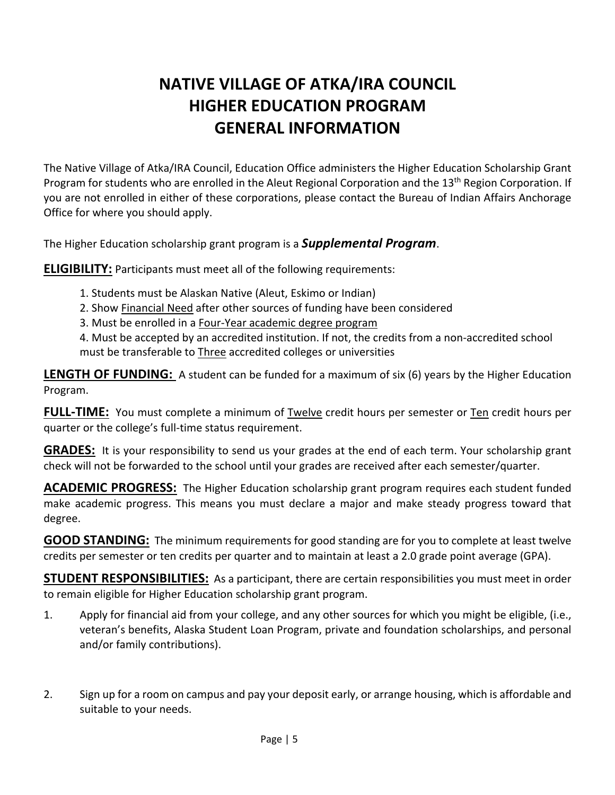# **NATIVE VILLAGE OF ATKA/IRA COUNCIL HIGHER EDUCATION PROGRAM GENERAL INFORMATION**

The Native Village of Atka/IRA Council, Education Office administers the Higher Education Scholarship Grant Program for students who are enrolled in the Aleut Regional Corporation and the 13<sup>th</sup> Region Corporation. If you are not enrolled in either of these corporations, please contact the Bureau of Indian Affairs Anchorage Office for where you should apply.

The Higher Education scholarship grant program is a *Supplemental Program*.

**ELIGIBILITY:** Participants must meet all of the following requirements:

- 1. Students must be Alaskan Native (Aleut, Eskimo or Indian)
- 2. Show Financial Need after other sources of funding have been considered
- 3. Must be enrolled in a Four-Year academic degree program

4. Must be accepted by an accredited institution. If not, the credits from a non-accredited school must be transferable to Three accredited colleges or universities

**LENGTH OF FUNDING:** A student can be funded for a maximum of six (6) years by the Higher Education Program.

**FULL-TIME:** You must complete a minimum of Twelve credit hours per semester or Ten credit hours per quarter or the college's full-time status requirement.

**GRADES:** It is your responsibility to send us your grades at the end of each term. Your scholarship grant check will not be forwarded to the school until your grades are received after each semester/quarter.

**ACADEMIC PROGRESS:** The Higher Education scholarship grant program requires each student funded make academic progress. This means you must declare a major and make steady progress toward that degree.

**GOOD STANDING:** The minimum requirements for good standing are for you to complete at least twelve credits per semester or ten credits per quarter and to maintain at least a 2.0 grade point average (GPA).

**STUDENT RESPONSIBILITIES:** As a participant, there are certain responsibilities you must meet in order to remain eligible for Higher Education scholarship grant program.

- 1. Apply for financial aid from your college, and any other sources for which you might be eligible, (i.e., veteran's benefits, Alaska Student Loan Program, private and foundation scholarships, and personal and/or family contributions).
- 2. Sign up for a room on campus and pay your deposit early, or arrange housing, which is affordable and suitable to your needs.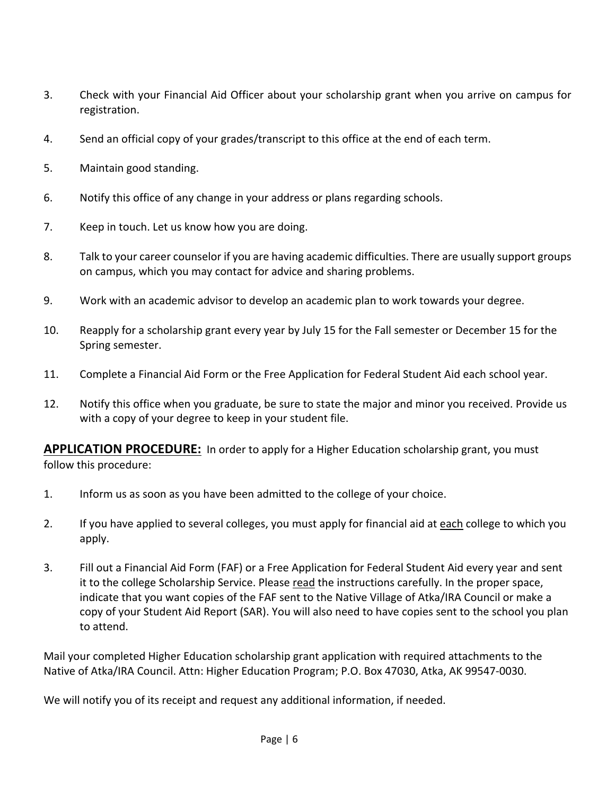- 3. Check with your Financial Aid Officer about your scholarship grant when you arrive on campus for registration.
- 4. Send an official copy of your grades/transcript to this office at the end of each term.
- 5. Maintain good standing.
- 6. Notify this office of any change in your address or plans regarding schools.
- 7. Keep in touch. Let us know how you are doing.
- 8. Talk to your career counselor if you are having academic difficulties. There are usually support groups on campus, which you may contact for advice and sharing problems.
- 9. Work with an academic advisor to develop an academic plan to work towards your degree.
- 10. Reapply for a scholarship grant every year by July 15 for the Fall semester or December 15 for the Spring semester.
- 11. Complete a Financial Aid Form or the Free Application for Federal Student Aid each school year.
- 12. Notify this office when you graduate, be sure to state the major and minor you received. Provide us with a copy of your degree to keep in your student file.

**APPLICATION PROCEDURE:** In order to apply for a Higher Education scholarship grant, you must follow this procedure:

- 1. Inform us as soon as you have been admitted to the college of your choice.
- 2. If you have applied to several colleges, you must apply for financial aid at each college to which you apply.
- 3. Fill out a Financial Aid Form (FAF) or a Free Application for Federal Student Aid every year and sent it to the college Scholarship Service. Please read the instructions carefully. In the proper space, indicate that you want copies of the FAF sent to the Native Village of Atka/IRA Council or make a copy of your Student Aid Report (SAR). You will also need to have copies sent to the school you plan to attend.

Mail your completed Higher Education scholarship grant application with required attachments to the Native of Atka/IRA Council. Attn: Higher Education Program; P.O. Box 47030, Atka, AK 99547-0030.

We will notify you of its receipt and request any additional information, if needed.